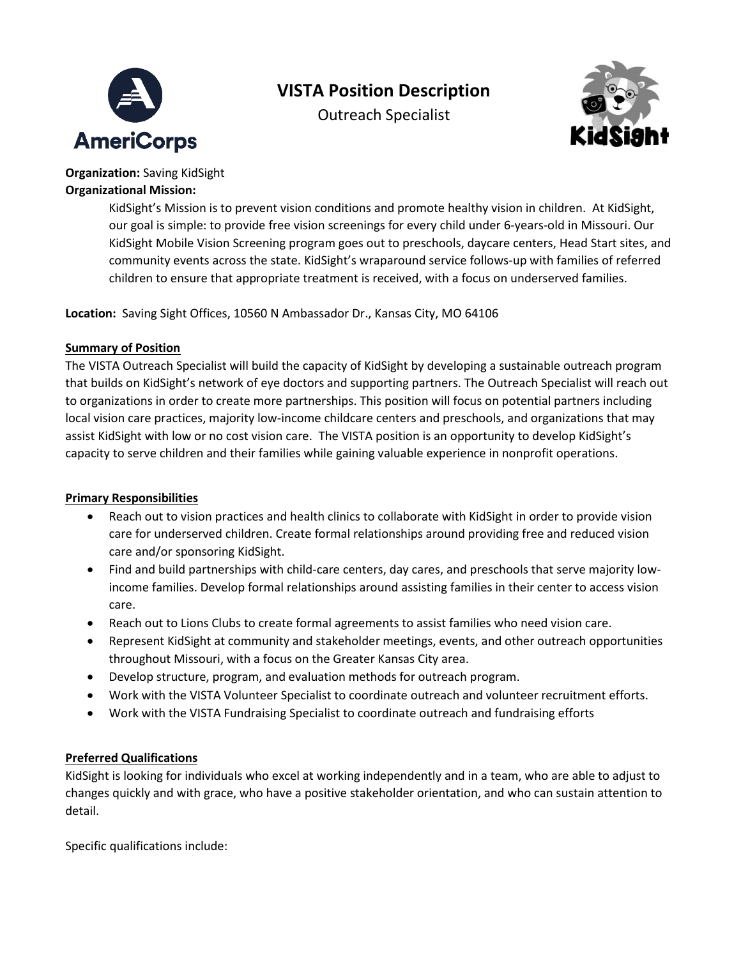

## **VISTA Position Description**

Outreach Specialist



**Organization:** Saving KidSight **Organizational Mission:** 

> KidSight's Mission is to prevent vision conditions and promote healthy vision in children. At KidSight, our goal is simple: to provide free vision screenings for every child under 6-years-old in Missouri. Our KidSight Mobile Vision Screening program goes out to preschools, daycare centers, Head Start sites, and community events across the state. KidSight's wraparound service follows-up with families of referred children to ensure that appropriate treatment is received, with a focus on underserved families.

**Location:** Saving Sight Offices, 10560 N Ambassador Dr., Kansas City, MO 64106

## **Summary of Position**

The VISTA Outreach Specialist will build the capacity of KidSight by developing a sustainable outreach program that builds on KidSight's network of eye doctors and supporting partners. The Outreach Specialist will reach out to organizations in order to create more partnerships. This position will focus on potential partners including local vision care practices, majority low-income childcare centers and preschools, and organizations that may assist KidSight with low or no cost vision care. The VISTA position is an opportunity to develop KidSight's capacity to serve children and their families while gaining valuable experience in nonprofit operations.

## **Primary Responsibilities**

- Reach out to vision practices and health clinics to collaborate with KidSight in order to provide vision care for underserved children. Create formal relationships around providing free and reduced vision care and/or sponsoring KidSight.
- Find and build partnerships with child-care centers, day cares, and preschools that serve majority lowincome families. Develop formal relationships around assisting families in their center to access vision care.
- Reach out to Lions Clubs to create formal agreements to assist families who need vision care.
- Represent KidSight at community and stakeholder meetings, events, and other outreach opportunities throughout Missouri, with a focus on the Greater Kansas City area.
- Develop structure, program, and evaluation methods for outreach program.
- Work with the VISTA Volunteer Specialist to coordinate outreach and volunteer recruitment efforts.
- Work with the VISTA Fundraising Specialist to coordinate outreach and fundraising efforts

## **Preferred Qualifications**

KidSight is looking for individuals who excel at working independently and in a team, who are able to adjust to changes quickly and with grace, who have a positive stakeholder orientation, and who can sustain attention to detail.

Specific qualifications include: